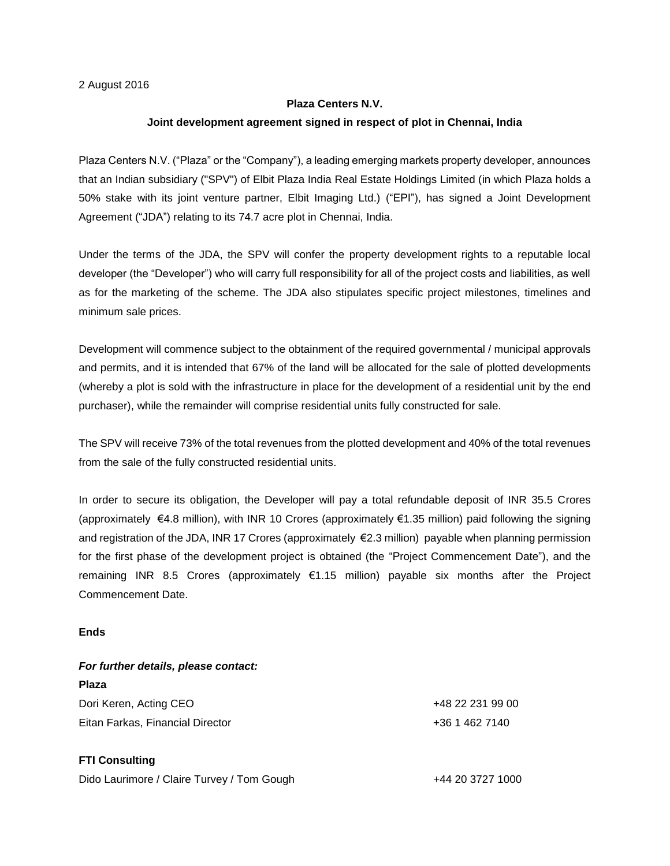2 August 2016

## **Plaza Centers N.V.**

## **Joint development agreement signed in respect of plot in Chennai, India**

Plaza Centers N.V. ("Plaza" or the "Company"), a leading emerging markets property developer, announces that an Indian subsidiary ("SPV") of Elbit Plaza India Real Estate Holdings Limited (in which Plaza holds a 50% stake with its joint venture partner, Elbit Imaging Ltd.) ("EPI"), has signed a Joint Development Agreement ("JDA") relating to its 74.7 acre plot in Chennai, India.

Under the terms of the JDA, the SPV will confer the property development rights to a reputable local developer (the "Developer") who will carry full responsibility for all of the project costs and liabilities, as well as for the marketing of the scheme. The JDA also stipulates specific project milestones, timelines and minimum sale prices.

Development will commence subject to the obtainment of the required governmental / municipal approvals and permits, and it is intended that 67% of the land will be allocated for the sale of plotted developments (whereby a plot is sold with the infrastructure in place for the development of a residential unit by the end purchaser), while the remainder will comprise residential units fully constructed for sale.

The SPV will receive 73% of the total revenues from the plotted development and 40% of the total revenues from the sale of the fully constructed residential units.

In order to secure its obligation, the Developer will pay a total refundable deposit of INR 35.5 Crores (approximately €4.8 million), with INR 10 Crores (approximately €1.35 million) paid following the signing and registration of the JDA, INR 17 Crores (approximately €2.3 million) payable when planning permission for the first phase of the development project is obtained (the "Project Commencement Date"), and the remaining INR 8.5 Crores (approximately €1.15 million) payable six months after the Project Commencement Date.

## **Ends**

| For further details, please contact: |                  |
|--------------------------------------|------------------|
| <b>Plaza</b>                         |                  |
| Dori Keren, Acting CEO               | +48 22 231 99 00 |
| Eitan Farkas, Financial Director     | +36 1 462 7140   |
| <b>FTI Consulting</b>                |                  |

Dido Laurimore / Claire Turvey / Tom Gough  $+44$  20 3727 1000